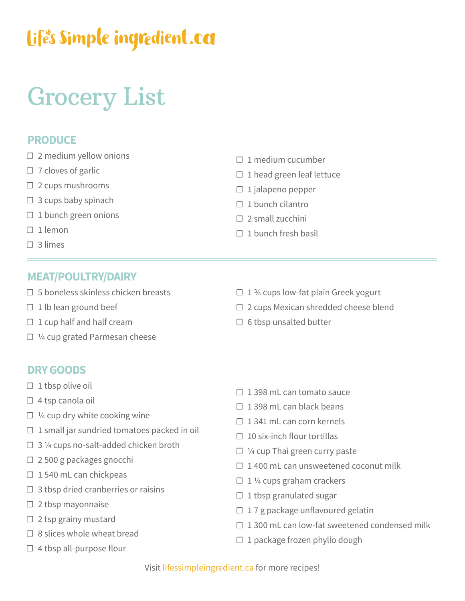## Life's Simple ingredient.ca

# Grocery List

### **PRODUCE**

- $\Box$  2 medium yellow onions
- $\Box$  7 cloves of garlic
- ☐ 2 cups mushrooms
- $\Box$  3 cups baby spinach
- $\Box$  1 bunch green onions
- ☐ 1 lemon
- ☐ 3 limes

### **MEAT/POULTRY/DAIRY**

- $\square$  5 boneless skinless chicken breasts
- $\Box$  1 lb lean ground beef
- $\Box$  1 cup half and half cream
- ☐ ¼ cup grated Parmesan cheese
- ☐ 1 medium cucumber
- $\Box$  1 head green leaf lettuce
- ☐ 1 jalapeno pepper
- □ 1 bunch cilantro
- $\Box$  2 small zucchini
- $\Box$  1 bunch fresh basil
- $\Box$  1 % cups low-fat plain Greek yogurt
- ☐ 2 cups Mexican shredded cheese blend
- □ 6 tbsp unsalted butter

#### **DRY GOODS**

- $\Box$  1 tbsp olive oil
- □ 4 tsp canola oil
- $\Box$  1/4 cup dry white cooking wine
- $\Box$  1 small jar sundried tomatoes packed in oil
- $\Box$  3 ¼ cups no-salt-added chicken broth
- ☐ 2 500 g packages gnocchi
- □ 1540 mL can chickpeas
- $\Box$  3 tbsp dried cranberries or raisins
- ☐ 2 tbsp mayonnaise
- $\Box$  2 tsp grainy mustard
- □ 8 slices whole wheat bread
- $\Box$  4 tbsp all-purpose flour
- □ 1398 mL can tomato sauce
- $\Box$  1398 mL can black beans
- $\Box$  1 341 mL can corn kernels
- $\Box$  10 six-inch flour tortillas
- ☐ ¼ cup Thai green curry paste
- $\Box$  1400 mL can unsweetened coconut milk
- $\Box$  1 1/4 cups graham crackers
- $\Box$  1 tbsp granulated sugar
- □ 17 g package unflavoured gelatin
- $\Box$  1 300 mL can low-fat sweetened condensed milk
- □ 1 package frozen phyllo dough